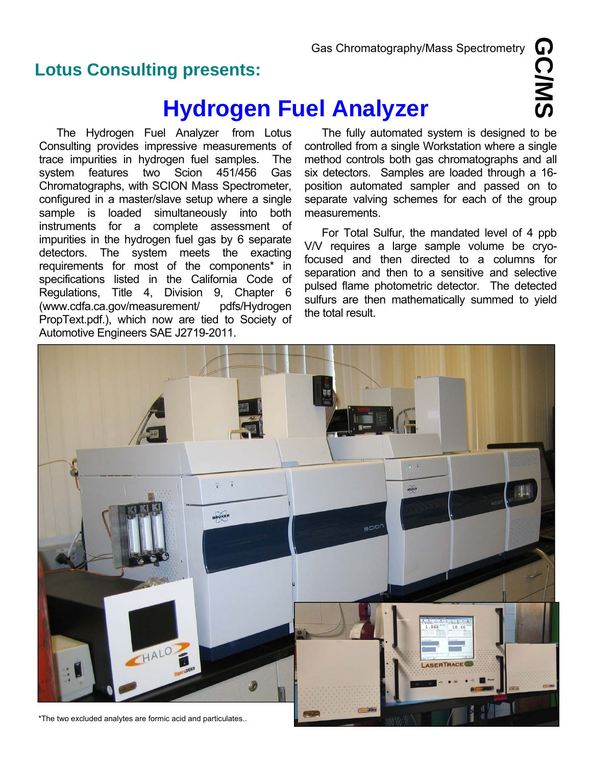## **Lotus Consulting presents:**

# **Hydrogen Fuel Analyzer**

 The Hydrogen Fuel Analyzer from Lotus Consulting provides impressive measurements of trace impurities in hydrogen fuel samples. The system features two Scion 451/456 Gas Chromatographs, with SCION Mass Spectrometer, configured in a master/slave setup where a single sample is loaded simultaneously into both instruments for a complete assessment of impurities in the hydrogen fuel gas by 6 separate detectors. The system meets the exacting requirements for most of the components\* in specifications listed in the California Code of Regulations, Title 4, Division 9, Chapter 6 (www.cdfa.ca.gov/measurement/ pdfs/Hydrogen PropText.pdf.), which now are tied to Society of Automotive Engineers SAE J2719-2011.

The fully automated system is designed to be controlled from a single Workstation where a single method controls both gas chromatographs and all six detectors. Samples are loaded through a 16 position automated sampler and passed on to separate valving schemes for each of the group measurements.

For Total Sulfur, the mandated level of 4 ppb V/V requires a large sample volume be cryofocused and then directed to a columns for separation and then to a sensitive and selective pulsed flame photometric detector. The detected sulfurs are then mathematically summed to yield the total result.



**GC/MS**

\*The two excluded analytes are formic acid and particulates..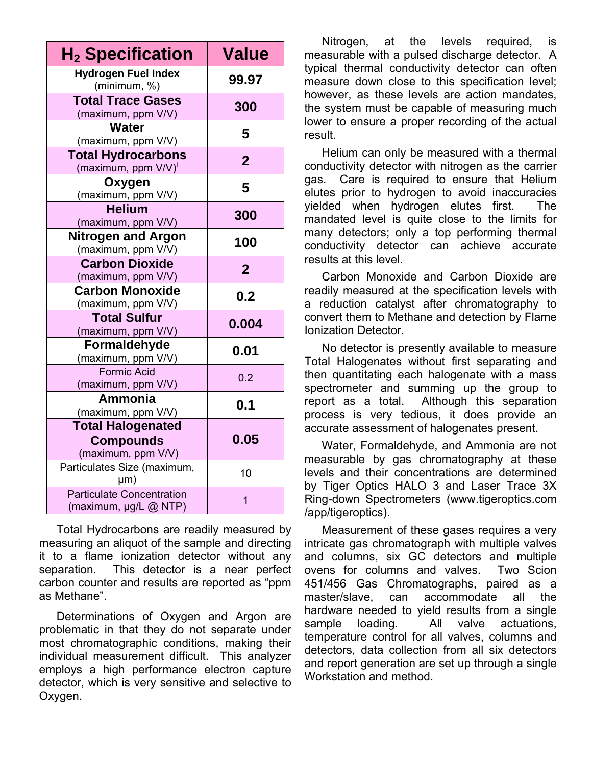| $\mathsf{H}_2$ Specification                                       | <b>Value</b>   |
|--------------------------------------------------------------------|----------------|
| <b>Hydrogen Fuel Index</b><br>(minimum, %)                         | 99.97          |
| <b>Total Trace Gases</b><br>(maximum, ppm V/V)                     | 300            |
| Water<br>(maximum, ppm V/V)                                        | 5              |
| <b>Total Hydrocarbons</b><br>(maximum, ppm V/V)'                   | $\overline{2}$ |
| Oxygen<br>(maximum, ppm V/V)                                       | 5              |
| <b>Helium</b><br>(maximum, ppm V/V)                                | 300            |
| <b>Nitrogen and Argon</b><br>(maximum, ppm V/V)                    | 100            |
| <b>Carbon Dioxide</b><br>(maximum, ppm V/V)                        | $\overline{2}$ |
| <b>Carbon Monoxide</b><br>(maximum, ppm V/V)                       | 0.2            |
| <b>Total Sulfur</b><br>(maximum, ppm V/V)                          | 0.004          |
| Formaldehyde<br>(maximum, ppm V/V)                                 | 0.01           |
| <b>Formic Acid</b><br>(maximum, ppm V/V)                           | 0.2            |
| Ammonia<br>(maximum, ppm V/V)                                      | 0.1            |
| <b>Total Halogenated</b><br><b>Compounds</b><br>(maximum, ppm V/V) | 0.05           |
| Particulates Size (maximum,<br>µm)                                 | 10             |
| <b>Particulate Concentration</b><br>(maximum, µg/L @ NTP)          | $\overline{1}$ |

Total Hydrocarbons are readily measured by measuring an aliquot of the sample and directing it to a flame ionization detector without any separation. This detector is a near perfect carbon counter and results are reported as "ppm as Methane".

Determinations of Oxygen and Argon are problematic in that they do not separate under most chromatographic conditions, making their individual measurement difficult. This analyzer employs a high performance electron capture detector, which is very sensitive and selective to Oxygen.

Nitrogen, at the levels required, is measurable with a pulsed discharge detector. A typical thermal conductivity detector can often measure down close to this specification level; however, as these levels are action mandates, the system must be capable of measuring much lower to ensure a proper recording of the actual result.

Helium can only be measured with a thermal conductivity detector with nitrogen as the carrier gas. Care is required to ensure that Helium elutes prior to hydrogen to avoid inaccuracies yielded when hydrogen elutes first. The mandated level is quite close to the limits for many detectors; only a top performing thermal conductivity detector can achieve accurate results at this level.

Carbon Monoxide and Carbon Dioxide are readily measured at the specification levels with a reduction catalyst after chromatography to convert them to Methane and detection by Flame Ionization Detector.

No detector is presently available to measure Total Halogenates without first separating and then quantitating each halogenate with a mass spectrometer and summing up the group to report as a total. Although this separation process is very tedious, it does provide an accurate assessment of halogenates present.

Water, Formaldehyde, and Ammonia are not measurable by gas chromatography at these levels and their concentrations are determined by Tiger Optics HALO 3 and Laser Trace 3X Ring-down Spectrometers (www.tigeroptics.com /app/tigeroptics).

Measurement of these gases requires a very intricate gas chromatograph with multiple valves and columns, six GC detectors and multiple ovens for columns and valves. Two Scion 451/456 Gas Chromatographs, paired as a master/slave, can accommodate all the hardware needed to yield results from a single sample loading. All valve actuations, temperature control for all valves, columns and detectors, data collection from all six detectors and report generation are set up through a single Workstation and method.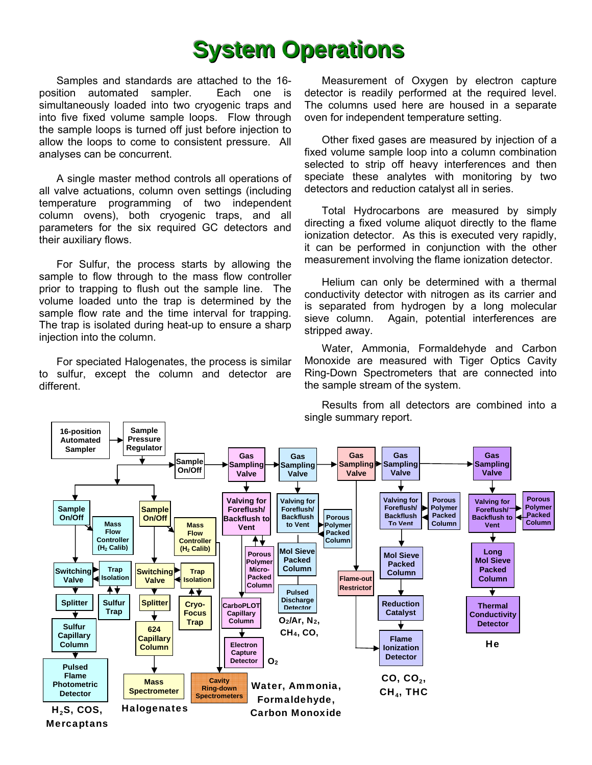## **System Operations**

Samples and standards are attached to the 16 position automated sampler. Each one is simultaneously loaded into two cryogenic traps and into five fixed volume sample loops. Flow through the sample loops is turned off just before injection to allow the loops to come to consistent pressure. All analyses can be concurrent.

A single master method controls all operations of all valve actuations, column oven settings (including temperature programming of two independent column ovens), both cryogenic traps, and all parameters for the six required GC detectors and their auxiliary flows.

For Sulfur, the process starts by allowing the sample to flow through to the mass flow controller prior to trapping to flush out the sample line. The volume loaded unto the trap is determined by the sample flow rate and the time interval for trapping. The trap is isolated during heat-up to ensure a sharp injection into the column.

For speciated Halogenates, the process is similar to sulfur, except the column and detector are different.

Measurement of Oxygen by electron capture detector is readily performed at the required level. The columns used here are housed in a separate oven for independent temperature setting.

Other fixed gases are measured by injection of a fixed volume sample loop into a column combination selected to strip off heavy interferences and then speciate these analytes with monitoring by two detectors and reduction catalyst all in series.

Total Hydrocarbons are measured by simply directing a fixed volume aliquot directly to the flame ionization detector. As this is executed very rapidly, it can be performed in conjunction with the other measurement involving the flame ionization detector.

Helium can only be determined with a thermal conductivity detector with nitrogen as its carrier and is separated from hydrogen by a long molecular sieve column. Again, potential interferences are stripped away.

 Water, Ammonia, Formaldehyde and Carbon Monoxide are measured with Tiger Optics Cavity Ring-Down Spectrometers that are connected into the sample stream of the system.



 Results from all detectors are combined into a single summary report.

**Mercaptans**